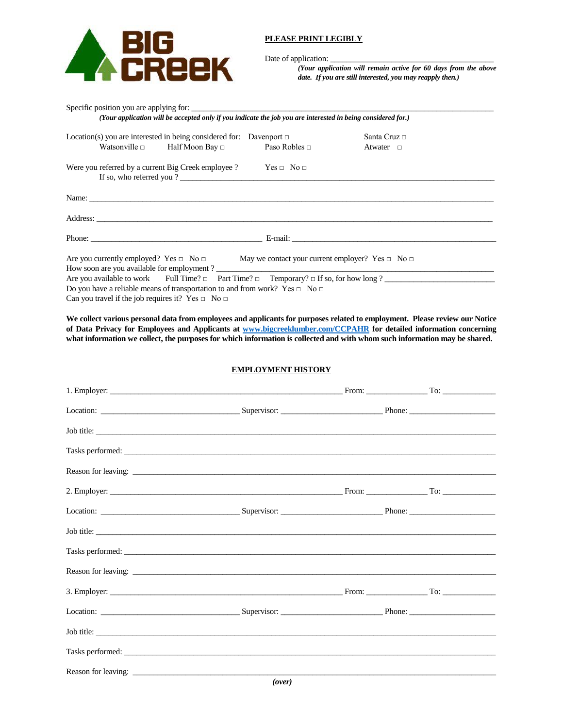

# **PLEASE PRINT LEGIBLY**

Date of application:

*(Your application will remain active for 60 days from the above date. If you are still interested, you may reapply then.)*

| Specific position you are applying for:                                                                                                                    |                   |
|------------------------------------------------------------------------------------------------------------------------------------------------------------|-------------------|
| (Your application will be accepted only if you indicate the job you are interested in being considered for.)                                               |                   |
| Location(s) you are interested in being considered for: Davenport $\Box$                                                                                   | Santa Cruz $\Box$ |
| Watsonville $\Box$ Half Moon Bay $\Box$ Paso Robles $\Box$                                                                                                 | Atwater $\Box$    |
| Were you referred by a current Big Creek employee ? $\qquad \qquad$ Yes $\Box$ No $\Box$<br>If so, who referred you?                                       |                   |
|                                                                                                                                                            |                   |
|                                                                                                                                                            |                   |
|                                                                                                                                                            |                   |
| Are you currently employed? Yes $\Box$ No $\Box$ May we contact your current employer? Yes $\Box$ No $\Box$<br>How soon are you available for employment ? |                   |
| Are you available to work Full Time? $\Box$ Part Time? $\Box$ Temporary? $\Box$ If so, for how long ?                                                      |                   |
| Do you have a reliable means of transportation to and from work? Yes $\Box$ No $\Box$                                                                      |                   |
| Can you travel if the job requires it? Yes $\Box$ No $\Box$                                                                                                |                   |

**We collect various personal data from employees and applicants for purposes related to employment. Please review our Notice of Data Privacy for Employees and Applicants at [www.bigcreeklumber.com/CCPAHR](http://www.bigcreeklumber.com/CCPAHR) for detailed information concerning what information we collect, the purposes for which information is collected and with whom such information may be shared.**

## **EMPLOYMENT HISTORY**

| Job title: |  |  |
|------------|--|--|
|            |  |  |
|            |  |  |
|            |  |  |
|            |  |  |
| Job title: |  |  |
|            |  |  |
|            |  |  |
|            |  |  |
|            |  |  |
| Job title: |  |  |
|            |  |  |
|            |  |  |